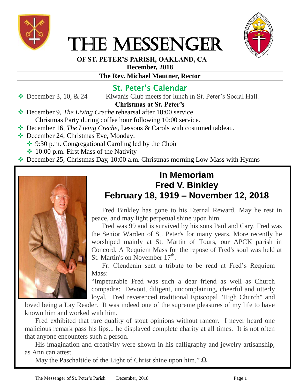

# THE MESSENGER



 **OF ST. PETER'S PARISH, OAKLAND, CA**

**December, 2018**

### **The Rev. Michael Mautner, Rector**

## St. Peter's Calendar

 $\triangle$  December 3, 10, & 24 Kiwanis Club meets for lunch in St. Peter's Social Hall.

## **Christmas at St. Peter's**

- December 9, *The Living Creche* rehearsal after 10:00 service Christmas Party during coffee hour following 10:00 service.
- December 16, *The Living Creche*, Lessons & Carols with costumed tableau.
- ◆ December 24, Christmas Eve, Monday: **→** 9:30 p.m. Congregational Caroling led by the Choir
	- $\cdot$  10:00 p.m. First Mass of the Nativity
- December 25, Christmas Day, 10:00 a.m. Christmas morning Low Mass with Hymns



## **In Memoriam Fred V. Binkley February 18, 1919 – November 12, 2018**

Fred Binkley has gone to his Eternal Reward. May he rest in peace, and may light perpetual shine upon him+

Fred was 99 and is survived by his sons Paul and Cary. Fred was the Senior Warden of St. Peter's for many years. More recently he worshiped mainly at St. Martin of Tours, our APCK parish in Concord. A Requiem Mass for the repose of Fred's soul was held at St. Martin's on November  $17<sup>th</sup>$ .

Fr. Clendenin sent a tribute to be read at Fred's Requiem Mass:

"Impeturable Fred was such a dear friend as well as Church compadre: Devout, diligent, uncomplaining, cheerful and utterly loyal. Fred reverenced traditional Episcopal "High Church" and

loved being a Lay Reader. It was indeed one of the supreme pleasures of my life to have known him and worked with him.

Fred exhibited that rare quality of stout opinions without rancor. I never heard one malicious remark pass his lips... he displayed complete charity at all times. It is not often that anyone encounters such a person.

His imagination and creativity were shown in his calligraphy and jewelry artisanship, as Ann can attest.

May the Paschaltide of the Light of Christ shine upon him." **Ω**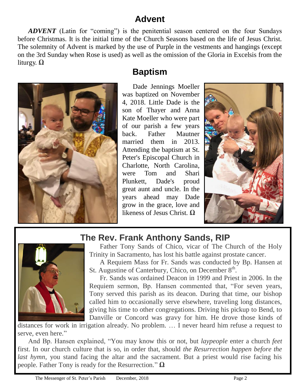# **Advent**

*ADVENT* (Latin for "coming") is the penitential season centered on the four Sundays before Christmas. It is the initial time of the Church Seasons based on the life of Jesus Christ. The solemnity of Advent is marked by the use of Purple in the vestments and hangings (except on the 3rd Sunday when Rose is used) as well as the omission of the Gloria in Excelsis from the liturgy. **Ω**



# **Baptism**

Dade Jennings Moeller was baptized on November 4, 2018. Little Dade is the son of Thayer and Anna Kate Moeller who were part of our parish a few years back. Father Mautner married them in 2013. Attending the baptism at St. Peter's Episcopal Church in Charlotte, North Carolina, were Tom and Shari Plunkett. Dade's proud great aunt and uncle. In the years ahead may Dade grow in the grace, love and likeness of Jesus Christ. **Ω**





# **The Rev. Frank Anthony Sands, RIP**

Father Tony Sands of Chico, vicar of The Church of the Holy Trinity in Sacramento, has lost his battle against prostate cancer.

A Requiem Mass for Fr. Sands was conducted by Bp. Hansen at St. Augustine of Canterbury, Chico, on December  $8<sup>th</sup>$ .

Fr. Sands was ordained Deacon in 1999 and Priest in 2006. In the Requiem sermon, Bp. Hansen commented that, "For seven years, Tony served this parish as its deacon. During that time, our bishop called him to occasionally serve elsewhere, traveling long distances, giving his time to other congregations. Driving his pickup to Bend, to Danville or Concord was gravy for him. He drove those kinds of

distances for work in irrigation already. No problem. … I never heard him refuse a request to serve, even here."

And Bp. Hansen explained, "You may know this or not, but *laypeople* enter a church *feet* first. In our church culture that is so, in order that, should *the Resurrection happen before the last hymn*, you stand facing the altar and the sacrament. But a priest would rise facing his people. Father Tony is ready for the Resurrection." **Ω**